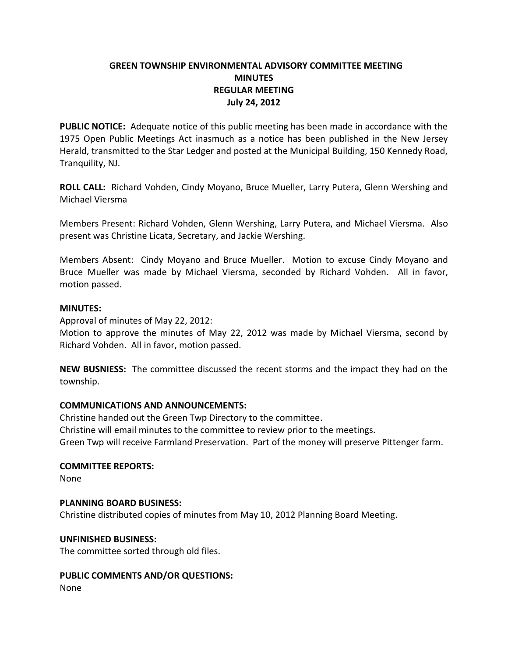# **GREEN TOWNSHIP ENVIRONMENTAL ADVISORY COMMITTEE MEETING MINUTES REGULAR MEETING July 24, 2012**

**PUBLIC NOTICE:** Adequate notice of this public meeting has been made in accordance with the 1975 Open Public Meetings Act inasmuch as a notice has been published in the New Jersey Herald, transmitted to the Star Ledger and posted at the Municipal Building, 150 Kennedy Road, Tranquility, NJ.

**ROLL CALL:** Richard Vohden, Cindy Moyano, Bruce Mueller, Larry Putera, Glenn Wershing and Michael Viersma

Members Present: Richard Vohden, Glenn Wershing, Larry Putera, and Michael Viersma. Also present was Christine Licata, Secretary, and Jackie Wershing.

Members Absent: Cindy Moyano and Bruce Mueller. Motion to excuse Cindy Moyano and Bruce Mueller was made by Michael Viersma, seconded by Richard Vohden. All in favor, motion passed.

### **MINUTES:**

Approval of minutes of May 22, 2012:

Motion to approve the minutes of May 22, 2012 was made by Michael Viersma, second by Richard Vohden. All in favor, motion passed.

**NEW BUSNIESS:** The committee discussed the recent storms and the impact they had on the township.

## **COMMUNICATIONS AND ANNOUNCEMENTS:**

Christine handed out the Green Twp Directory to the committee. Christine will email minutes to the committee to review prior to the meetings. Green Twp will receive Farmland Preservation. Part of the money will preserve Pittenger farm.

## **COMMITTEE REPORTS:**

None

## **PLANNING BOARD BUSINESS:**

Christine distributed copies of minutes from May 10, 2012 Planning Board Meeting.

#### **UNFINISHED BUSINESS:**

The committee sorted through old files.

**PUBLIC COMMENTS AND/OR QUESTIONS:** None